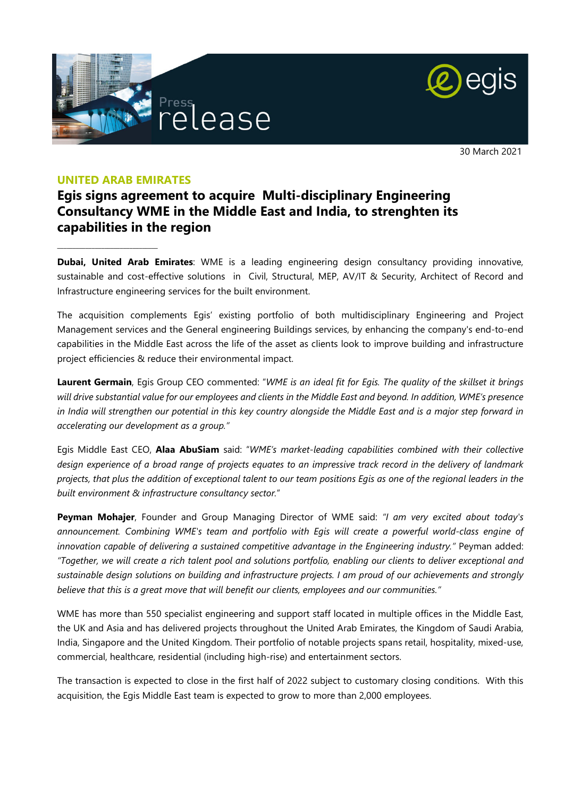



30 March 2021

### **UNITED ARAB EMIRATES**

**\_\_\_\_\_\_\_\_\_\_\_\_\_\_\_\_\_\_\_\_\_\_\_\_\_\_\_\_\_\_\_\_**

## **Egis signs agreement to acquire Multi-disciplinary Engineering Consultancy WME in the Middle East and India, to strenghten its capabilities in the region**

**Dubai, United Arab Emirates**: WME is a leading engineering design consultancy providing innovative, sustainable and cost-effective solutions in Civil, Structural, MEP, AV/IT & Security, Architect of Record and Infrastructure engineering services for the built environment.

The acquisition complements Egis' existing portfolio of both multidisciplinary Engineering and Project Management services and the General engineering Buildings services, by enhancing the company's end-to-end capabilities in the Middle East across the life of the asset as clients look to improve building and infrastructure project efficiencies & reduce their environmental impact.

**Laurent Germain**, Egis Group CEO commented: "*WME is an ideal fit for Egis. The quality of the skillset it brings will drive substantial value for our employees and clients in the Middle East and beyond. In addition, WME's presence in India will strengthen our potential in this key country alongside the Middle East and is a major step forward in accelerating our development as a group."* 

Egis Middle East CEO, **Alaa AbuSiam** said: "*WME's market-leading capabilities combined with their collective design experience of a broad range of projects equates to an impressive track record in the delivery of landmark projects, that plus the addition of exceptional talent to our team positions Egis as one of the regional leaders in the built environment & infrastructure consultancy sector.*"

**Peyman Mohajer**, Founder and Group Managing Director of WME said: *"I am very excited about today's announcement. Combining WME's team and portfolio with Egis will create a powerful world-class engine of innovation capable of delivering a sustained competitive advantage in the Engineering industry."* Peyman added: *"Together, we will create a rich talent pool and solutions portfolio, enabling our clients to deliver exceptional and sustainable design solutions on building and infrastructure projects. I am proud of our achievements and strongly believe that this is a great move that will benefit our clients, employees and our communities."* 

WME has more than 550 specialist engineering and support staff located in multiple offices in the Middle East, the UK and Asia and has delivered projects throughout the United Arab Emirates, the Kingdom of Saudi Arabia, India, Singapore and the United Kingdom. Their portfolio of notable projects spans retail, hospitality, mixed-use, commercial, healthcare, residential (including high-rise) and entertainment sectors.

The transaction is expected to close in the first half of 2022 subject to customary closing conditions. With this acquisition, the Egis Middle East team is expected to grow to more than 2,000 employees.